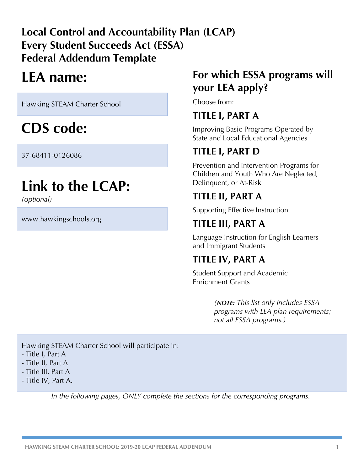# **Local Control and Accountability Plan (LCAP) Every Student Succeeds Act (ESSA) Federal Addendum Template**

# **LEA name:**

Hawking STEAM Charter School

# **CDS code:**

37-68411-0126086

# **Link to the LCAP:**

*(optional)*

www.hawkingschools.org

# **For which ESSA programs will your LEA apply?**

Choose from:

# **TITLE I, PART A**

Improving Basic Programs Operated by State and Local Educational Agencies

# **TITLE I, PART D**

Prevention and Intervention Programs for Children and Youth Who Are Neglected, Delinquent, or At-Risk

# **TITLE II, PART A**

Supporting Effective Instruction

# **TITLE III, PART A**

Language Instruction for English Learners and Immigrant Students

# **TITLE IV, PART A**

Student Support and Academic Enrichment Grants

> *(NOTE: This list only includes ESSA programs with LEA plan requirements; not all ESSA programs.)*

Hawking STEAM Charter School will participate in:

- Title I, Part A
- Title II, Part A
- Title III, Part A
- Title IV, Part A.

*In the following pages, ONLY complete the sections for the corresponding programs.*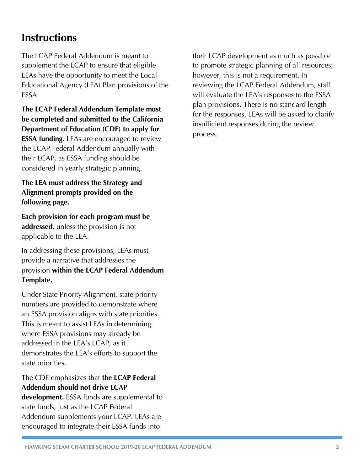# **Instructions**

The LCAP Federal Addendum is meant to supplement the LCAP to ensure that eligible LEAs have the opportunity to meet the Local Educational Agency (LEA) Plan provisions of the ESSA.

**The LCAP Federal Addendum Template must be completed and submitted to the California Department of Education (CDE) to apply for ESSA funding.** LEAs are encouraged to review the LCAP Federal Addendum annually with their LCAP, as ESSA funding should be considered in yearly strategic planning.

**The LEA must address the Strategy and Alignment prompts provided on the following page.** 

**Each provision for each program must be addressed,** unless the provision is not applicable to the LEA.

In addressing these provisions, LEAs must provide a narrative that addresses the provision **within the LCAP Federal Addendum Template.**

Under State Priority Alignment, state priority numbers are provided to demonstrate where an ESSA provision aligns with state priorities. This is meant to assist LEAs in determining where ESSA provisions may already be addressed in the LEA's LCAP, as it demonstrates the LEA's efforts to support the state priorities.

### The CDE emphasizes that **the LCAP Federal Addendum should not drive LCAP**

**development.** ESSA funds are supplemental to state funds, just as the LCAP Federal Addendum supplements your LCAP. LEAs are encouraged to integrate their ESSA funds into

their LCAP development as much as possible to promote strategic planning of all resources; however, this is not a requirement. In reviewing the LCAP Federal Addendum, staff will evaluate the LEA's responses to the ESSA plan provisions. There is no standard length for the responses. LEAs will be asked to clarify insufficient responses during the review process.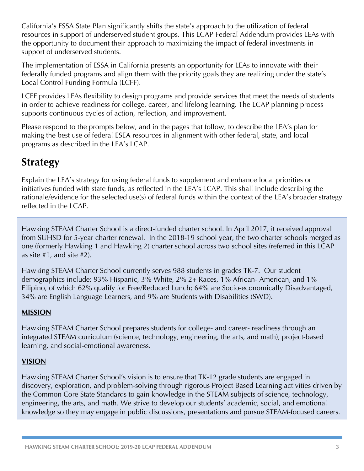California's ESSA State Plan significantly shifts the state's approach to the utilization of federal resources in support of underserved student groups. This LCAP Federal Addendum provides LEAs with the opportunity to document their approach to maximizing the impact of federal investments in support of underserved students.

The implementation of ESSA in California presents an opportunity for LEAs to innovate with their federally funded programs and align them with the priority goals they are realizing under the state's Local Control Funding Formula (LCFF).

LCFF provides LEAs flexibility to design programs and provide services that meet the needs of students in order to achieve readiness for college, career, and lifelong learning. The LCAP planning process supports continuous cycles of action, reflection, and improvement.

Please respond to the prompts below, and in the pages that follow, to describe the LEA's plan for making the best use of federal ESEA resources in alignment with other federal, state, and local programs as described in the LEA's LCAP.

# **Strategy**

Explain the LEA's strategy for using federal funds to supplement and enhance local priorities or initiatives funded with state funds, as reflected in the LEA's LCAP. This shall include describing the rationale/evidence for the selected use(s) of federal funds within the context of the LEA's broader strategy reflected in the LCAP.

Hawking STEAM Charter School is a direct-funded charter school. In April 2017, it received approval from SUHSD for 5-year charter renewal. In the 2018-19 school year, the two charter schools merged as one (formerly Hawking 1 and Hawking 2) charter school across two school sites (referred in this LCAP as site #1, and site #2).

Hawking STEAM Charter School currently serves 988 students in grades TK-7. Our student demographics include: 93% Hispanic, 3% White, 2% 2+ Races, 1% African- American, and 1% Filipino, of which 62% qualify for Free/Reduced Lunch; 64% are Socio-economically Disadvantaged, 34% are English Language Learners, and 9% are Students with Disabilities (SWD).

### **MISSION**

Hawking STEAM Charter School prepares students for college- and career- readiness through an integrated STEAM curriculum (science, technology, engineering, the arts, and math), project-based learning, and social-emotional awareness.

### **VISION**

Hawking STEAM Charter School's vision is to ensure that TK-12 grade students are engaged in discovery, exploration, and problem-solving through rigorous Project Based Learning activities driven by the Common Core State Standards to gain knowledge in the STEAM subjects of science, technology, engineering, the arts, and math. We strive to develop our students' academic, social, and emotional knowledge so they may engage in public discussions, presentations and pursue STEAM-focused careers.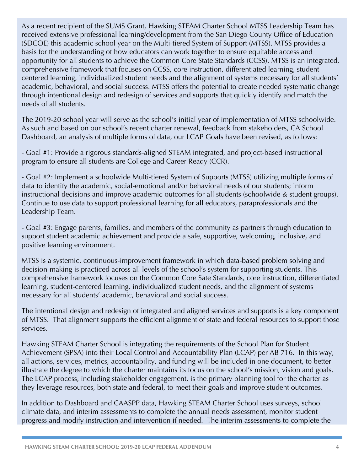As a recent recipient of the SUMS Grant, Hawking STEAM Charter School MTSS Leadership Team has received extensive professional learning/development from the San Diego County Office of Education (SDCOE) this academic school year on the Multi-tiered System of Support (MTSS). MTSS provides a basis for the understanding of how educators can work together to ensure equitable access and opportunity for all students to achieve the Common Core State Standards (CCSS). MTSS is an integrated, comprehensive framework that focuses on CCSS, core instruction, differentiated learning, studentcentered learning, individualized student needs and the alignment of systems necessary for all students' academic, behavioral, and social success. MTSS offers the potential to create needed systematic change through intentional design and redesign of services and supports that quickly identify and match the needs of all students.

The 2019-20 school year will serve as the school's initial year of implementation of MTSS schoolwide. As such and based on our school's recent charter renewal, feedback from stakeholders, CA School Dashboard, an analysis of multiple forms of data, our LCAP Goals have been revised, as follows:

- Goal #1: Provide a rigorous standards-aligned STEAM integrated, and project-based instructional program to ensure all students are College and Career Ready (CCR).

- Goal #2: Implement a schoolwide Multi-tiered System of Supports (MTSS) utilizing multiple forms of data to identify the academic, social-emotional and/or behavioral needs of our students; inform instructional decisions and improve academic outcomes for all students (schoolwide & student groups). Continue to use data to support professional learning for all educators, paraprofessionals and the Leadership Team.

- Goal #3: Engage parents, families, and members of the community as partners through education to support student academic achievement and provide a safe, supportive, welcoming, inclusive, and positive learning environment.

MTSS is a systemic, continuous-improvement framework in which data-based problem solving and decision-making is practiced across all levels of the school's system for supporting students. This comprehensive framework focuses on the Common Core Sate Standards, core instruction, differentiated learning, student-centered learning, individualized student needs, and the alignment of systems necessary for all students' academic, behavioral and social success.

The intentional design and redesign of integrated and aligned services and supports is a key component of MTSS. That alignment supports the efficient alignment of state and federal resources to support those services.

Hawking STEAM Charter School is integrating the requirements of the School Plan for Student Achievement (SPSA) into their Local Control and Accountability Plan (LCAP) per AB 716. In this way, all actions, services, metrics, accountability, and funding will be included in one document, to better illustrate the degree to which the charter maintains its focus on the school's mission, vision and goals. The LCAP process, including stakeholder engagement, is the primary planning tool for the charter as they leverage resources, both state and federal, to meet their goals and improve student outcomes.

In addition to Dashboard and CAASPP data, Hawking STEAM Charter School uses surveys, school climate data, and interim assessments to complete the annual needs assessment, monitor student progress and modify instruction and intervention if needed. The interim assessments to complete the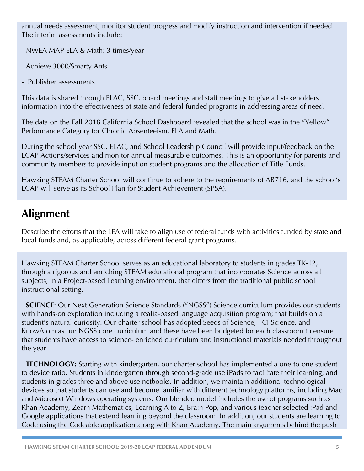annual needs assessment, monitor student progress and modify instruction and intervention if needed. The interim assessments include:

- NWEA MAP ELA & Math: 3 times/year

- Achieve 3000/Smarty Ants
- Publisher assessments

This data is shared through ELAC, SSC, board meetings and staff meetings to give all stakeholders information into the effectiveness of state and federal funded programs in addressing areas of need.

The data on the Fall 2018 California School Dashboard revealed that the school was in the "Yellow" Performance Category for Chronic Absenteeism, ELA and Math.

During the school year SSC, ELAC, and School Leadership Council will provide input/feedback on the LCAP Actions/services and monitor annual measurable outcomes. This is an opportunity for parents and community members to provide input on student programs and the allocation of Title Funds.

Hawking STEAM Charter School will continue to adhere to the requirements of AB716, and the school's LCAP will serve as its School Plan for Student Achievement (SPSA).

# **Alignment**

Describe the efforts that the LEA will take to align use of federal funds with activities funded by state and local funds and, as applicable, across different federal grant programs.

Hawking STEAM Charter School serves as an educational laboratory to students in grades TK-12, through a rigorous and enriching STEAM educational program that incorporates Science across all subjects, in a Project-based Learning environment, that differs from the traditional public school instructional setting.

- **SCIENCE**: Our Next Generation Science Standards ("NGSS") Science curriculum provides our students with hands-on exploration including a realia-based language acquisition program; that builds on a student's natural curiosity. Our charter school has adopted Seeds of Science, TCI Science, and KnowAtom as our NGSS core curriculum and these have been budgeted for each classroom to ensure that students have access to science- enriched curriculum and instructional materials needed throughout the year.

- **TECHNOLOGY:** Starting with kindergarten, our charter school has implemented a one-to-one student to device ratio. Students in kindergarten through second-grade use iPads to facilitate their learning; and students in grades three and above use netbooks. In addition, we maintain additional technological devices so that students can use and become familiar with different technology platforms, including Mac and Microsoft Windows operating systems. Our blended model includes the use of programs such as Khan Academy, Zearn Mathematics, Learning A to Z, Brain Pop, and various teacher selected iPad and Google applications that extend learning beyond the classroom. In addition, our students are learning to Code using the Codeable application along with Khan Academy. The main arguments behind the push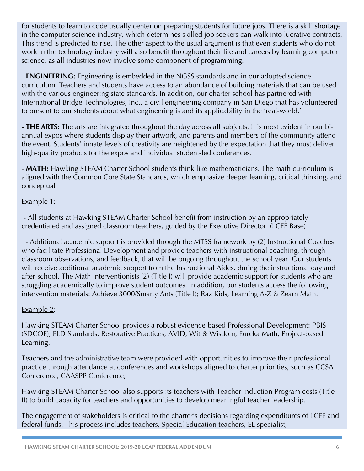for students to learn to code usually center on preparing students for future jobs. There is a skill shortage in the computer science industry, which determines skilled job seekers can walk into lucrative contracts. This trend is predicted to rise. The other aspect to the usual argument is that even students who do not work in the technology industry will also benefit throughout their life and careers by learning computer science, as all industries now involve some component of programming.

- **ENGINEERING:** Engineering is embedded in the NGSS standards and in our adopted science curriculum. Teachers and students have access to an abundance of building materials that can be used with the various engineering state standards. In addition, our charter school has partnered with International Bridge Technologies, Inc., a civil engineering company in San Diego that has volunteered to present to our students about what engineering is and its applicability in the 'real-world.'

**- THE ARTS:** The arts are integrated throughout the day across all subjects. It is most evident in our biannual expos where students display their artwork, and parents and members of the community attend the event. Students' innate levels of creativity are heightened by the expectation that they must deliver high-quality products for the expos and individual student-led conferences.

- **MATH:** Hawking STEAM Charter School students think like mathematicians. The math curriculum is aligned with the Common Core State Standards, which emphasize deeper learning, critical thinking, and conceptual

#### Example 1:

- All students at Hawking STEAM Charter School benefit from instruction by an appropriately credentialed and assigned classroom teachers, guided by the Executive Director. (LCFF Base)

 - Additional academic support is provided through the MTSS framework by (2) Instructional Coaches who facilitate Professional Development and provide teachers with instructional coaching, through classroom observations, and feedback, that will be ongoing throughout the school year. Our students will receive additional academic support from the Instructional Aides, during the instructional day and after-school. The Math Interventionists (2) (Title I) will provide academic support for students who are struggling academically to improve student outcomes. In addition, our students access the following intervention materials: Achieve 3000/Smarty Ants (Title I); Raz Kids, Learning A-Z & Zearn Math.

#### Example 2:

Hawking STEAM Charter School provides a robust evidence-based Professional Development: PBIS (SDCOE), ELD Standards, Restorative Practices, AVID, Wit & Wisdom, Eureka Math, Project-based Learning.

Teachers and the administrative team were provided with opportunities to improve their professional practice through attendance at conferences and workshops aligned to charter priorities, such as CCSA Conference, CAASPP Conference,

Hawking STEAM Charter School also supports its teachers with Teacher Induction Program costs (Title II) to build capacity for teachers and opportunities to develop meaningful teacher leadership.

The engagement of stakeholders is critical to the charter's decisions regarding expenditures of LCFF and federal funds. This process includes teachers, Special Education teachers, EL specialist,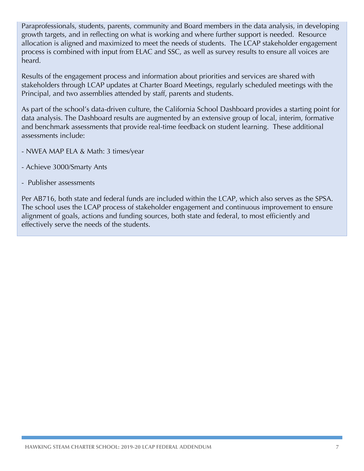Paraprofessionals, students, parents, community and Board members in the data analysis, in developing growth targets, and in reflecting on what is working and where further support is needed. Resource allocation is aligned and maximized to meet the needs of students. The LCAP stakeholder engagement process is combined with input from ELAC and SSC, as well as survey results to ensure all voices are heard.

Results of the engagement process and information about priorities and services are shared with stakeholders through LCAP updates at Charter Board Meetings, regularly scheduled meetings with the Principal, and two assemblies attended by staff, parents and students.

As part of the school's data-driven culture, the California School Dashboard provides a starting point for data analysis. The Dashboard results are augmented by an extensive group of local, interim, formative and benchmark assessments that provide real-time feedback on student learning. These additional assessments include:

- NWEA MAP ELA & Math: 3 times/year
- Achieve 3000/Smarty Ants
- Publisher assessments

Per AB716, both state and federal funds are included within the LCAP, which also serves as the SPSA. The school uses the LCAP process of stakeholder engagement and continuous improvement to ensure alignment of goals, actions and funding sources, both state and federal, to most efficiently and effectively serve the needs of the students.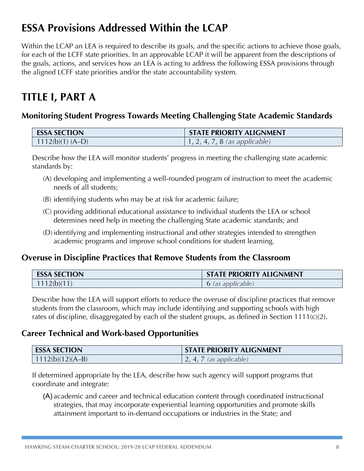# **ESSA Provisions Addressed Within the LCAP**

Within the LCAP an LEA is required to describe its goals, and the specific actions to achieve those goals, for each of the LCFF state priorities. In an approvable LCAP it will be apparent from the descriptions of the goals, actions, and services how an LEA is acting to address the following ESSA provisions through the aligned LCFF state priorities and/or the state accountability system.

# **TITLE I, PART A**

## **Monitoring Student Progress Towards Meeting Challenging State Academic Standards**

| <b>ESSA SECTION</b> | <b>STATE PRIORITY ALIGNMENT</b>       |
|---------------------|---------------------------------------|
| $1112(b)(1) (A-D)$  | $\vert 1, 2, 4, 7, 8$ (as applicable) |

Describe how the LEA will monitor students' progress in meeting the challenging state academic standards by:

- (A) developing and implementing a well-rounded program of instruction to meet the academic needs of all students;
- (B) identifying students who may be at risk for academic failure;
- (C) providing additional educational assistance to individual students the LEA or school determines need help in meeting the challenging State academic standards; and
- (D) identifying and implementing instructional and other strategies intended to strengthen academic programs and improve school conditions for student learning.

### **Overuse in Discipline Practices that Remove Students from the Classroom**

| <b>ESSA SECTION</b> | <b>STATE PRIORITY ALIGNMENT</b> |
|---------------------|---------------------------------|
| 1112(b)(11)         | 6 (as applicable)               |

Describe how the LEA will support efforts to reduce the overuse of discipline practices that remove students from the classroom, which may include identifying and supporting schools with high rates of discipline, disaggregated by each of the student groups, as defined in Section 1111(c)(2).

### **Career Technical and Work-based Opportunities**

| <b>ESSA SECTION</b> | <b>STATE PRIORITY ALIGNMENT</b> |
|---------------------|---------------------------------|
| $1112(b)(12)(A-B)$  | (as applicable)                 |

If determined appropriate by the LEA, describe how such agency will support programs that coordinate and integrate:

(A) academic and career and technical education content through coordinated instructional strategies, that may incorporate experiential learning opportunities and promote skills attainment important to in-demand occupations or industries in the State; and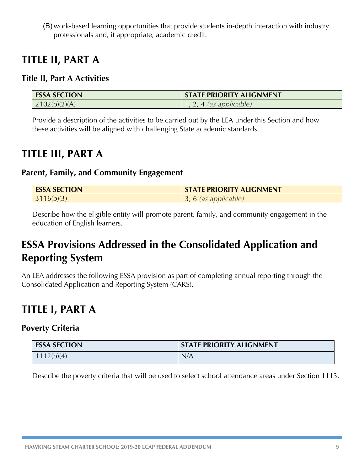(B) work-based learning opportunities that provide students in-depth interaction with industry professionals and, if appropriate, academic credit.

# **TITLE II, PART A**

### **Title II, Part A Activities**

| <b>ESSA SECTION</b> | <b>STATE PRIORITY ALIGNMENT</b> |
|---------------------|---------------------------------|
| 2102(b)(2)(A)       | . 4 (as applicable)             |

Provide a description of the activities to be carried out by the LEA under this Section and how these activities will be aligned with challenging State academic standards.

# **TITLE III, PART A**

#### **Parent, Family, and Community Engagement**

| <b>ESSA SECTION</b> | <b>STATE PRIORITY ALIGNMENT</b> |
|---------------------|---------------------------------|
| 3116(b)(3)          | , 6 (as applicable)             |

Describe how the eligible entity will promote parent, family, and community engagement in the education of English learners.

# **ESSA Provisions Addressed in the Consolidated Application and Reporting System**

An LEA addresses the following ESSA provision as part of completing annual reporting through the Consolidated Application and Reporting System (CARS).

# **TITLE I, PART A**

### **Poverty Criteria**

| <b>ESSA SECTION</b> | <b>STATE PRIORITY ALIGNMENT</b> |
|---------------------|---------------------------------|
| 1112(b)(4)          | N/A                             |

Describe the poverty criteria that will be used to select school attendance areas under Section 1113.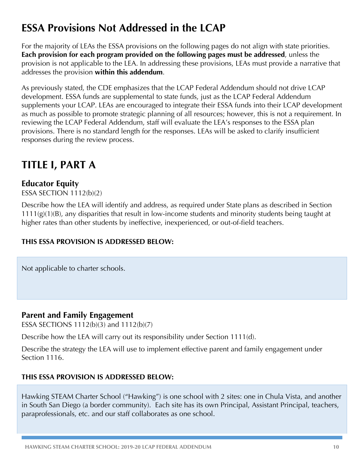# **ESSA Provisions Not Addressed in the LCAP**

For the majority of LEAs the ESSA provisions on the following pages do not align with state priorities. **Each provision for each program provided on the following pages must be addressed**, unless the provision is not applicable to the LEA. In addressing these provisions, LEAs must provide a narrative that addresses the provision **within this addendum**.

As previously stated, the CDE emphasizes that the LCAP Federal Addendum should not drive LCAP development. ESSA funds are supplemental to state funds, just as the LCAP Federal Addendum supplements your LCAP. LEAs are encouraged to integrate their ESSA funds into their LCAP development as much as possible to promote strategic planning of all resources; however, this is not a requirement. In reviewing the LCAP Federal Addendum, staff will evaluate the LEA's responses to the ESSA plan provisions. There is no standard length for the responses. LEAs will be asked to clarify insufficient responses during the review process.

# **TITLE I, PART A**

## **Educator Equity**

ESSA SECTION 1112(b)(2)

Describe how the LEA will identify and address, as required under State plans as described in Section 1111(g)(1)(B), any disparities that result in low-income students and minority students being taught at higher rates than other students by ineffective, inexperienced, or out-of-field teachers.

#### **THIS ESSA PROVISION IS ADDRESSED BELOW:**

Not applicable to charter schools.

### **Parent and Family Engagement**

ESSA SECTIONS 1112(b)(3) and 1112(b)(7)

Describe how the LEA will carry out its responsibility under Section 1111(d).

Describe the strategy the LEA will use to implement effective parent and family engagement under Section 1116.

#### **THIS ESSA PROVISION IS ADDRESSED BELOW:**

Hawking STEAM Charter School ("Hawking") is one school with 2 sites: one in Chula Vista, and another in South San Diego (a border community). Each site has its own Principal, Assistant Principal, teachers, paraprofessionals, etc. and our staff collaborates as one school.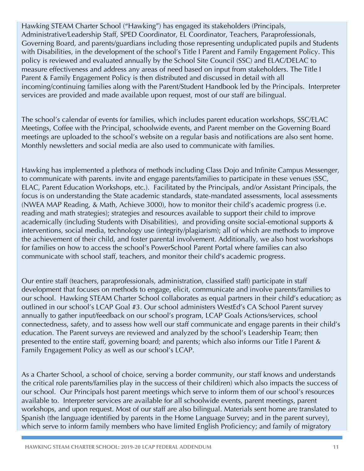Hawking STEAM Charter School ("Hawking") has engaged its stakeholders (Principals, Administrative/Leadership Staff, SPED Coordinator, EL Coordinator, Teachers, Paraprofessionals, Governing Board, and parents/guardians including those representing unduplicated pupils and Students with Disabilities, in the development of the school's Title I Parent and Family Engagement Policy. This policy is reviewed and evaluated annually by the School Site Council (SSC) and ELAC/DELAC to measure effectiveness and address any areas of need based on input from stakeholders. The Title I Parent & Family Engagement Policy is then distributed and discussed in detail with all incoming/continuing families along with the Parent/Student Handbook led by the Principals. Interpreter services are provided and made available upon request, most of our staff are bilingual.

The school's calendar of events for families, which includes parent education workshops, SSC/ELAC Meetings, Coffee with the Principal, schoolwide events, and Parent member on the Governing Board meetings are uploaded to the school's website on a regular basis and notifications are also sent home. Monthly newsletters and social media are also used to communicate with families.

Hawking has implemented a plethora of methods including Class Dojo and Infinite Campus Messenger, to communicate with parents. invite and engage parents/families to participate in these venues (SSC, ELAC, Parent Education Workshops, etc.). Facilitated by the Principals, and/or Assistant Principals, the focus is on understanding the State academic standards, state-mandated assessments, local assessments (NWEA MAP Reading, & Math, Achieve 3000), how to monitor their child's academic progress (i.e. reading and math strategies); strategies and resources available to support their child to improve academically (including Students with Disabilities), and providing onsite social-emotional supports & interventions, social media, technology use (integrity/plagiarism); all of which are methods to improve the achievement of their child, and foster parental involvement. Additionally, we also host workshops for families on how to access the school's PowerSchool Parent Portal where families can also communicate with school staff, teachers, and monitor their child's academic progress.

Our entire staff (teachers, paraprofessionals, administration, classified staff) participate in staff development that focuses on methods to engage, elicit, communicate and involve parents/families to our school. Hawking STEAM Charter School collaborates as equal partners in their child's education; as outlined in our school's LCAP Goal #3. Our school administers WestEd's CA School Parent survey annually to gather input/feedback on our school's program, LCAP Goals Actions/services, school connectedness, safety, and to assess how well our staff communicate and engage parents in their child's education. The Parent surveys are reviewed and analyzed by the school's Leadership Team; then presented to the entire staff, governing board; and parents; which also informs our Title I Parent & Family Engagement Policy as well as our school's LCAP.

As a Charter School, a school of choice, serving a border community, our staff knows and understands the critical role parents/families play in the success of their child(ren) which also impacts the success of our school. Our Principals host parent meetings which serve to inform them of our school's resources available to. Interpreter services are available for all schoolwide events, parent meetings, parent workshops, and upon request. Most of our staff are also bilingual. Materials sent home are translated to Spanish (the language identified by parents in the Home Language Survey; and in the parent survey), which serve to inform family members who have limited English Proficiency; and family of migratory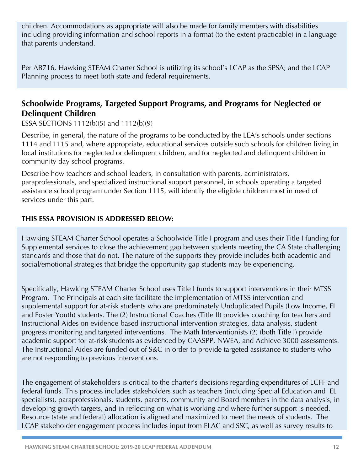children. Accommodations as appropriate will also be made for family members with disabilities including providing information and school reports in a format (to the extent practicable) in a language that parents understand.

Per AB716, Hawking STEAM Charter School is utilizing its school's LCAP as the SPSA; and the LCAP Planning process to meet both state and federal requirements.

## **Schoolwide Programs, Targeted Support Programs, and Programs for Neglected or Delinquent Children**

ESSA SECTIONS 1112(b)(5) and 1112(b)(9)

Describe, in general, the nature of the programs to be conducted by the LEA's schools under sections 1114 and 1115 and, where appropriate, educational services outside such schools for children living in local institutions for neglected or delinquent children, and for neglected and delinquent children in community day school programs.

Describe how teachers and school leaders, in consultation with parents, administrators, paraprofessionals, and specialized instructional support personnel, in schools operating a targeted assistance school program under Section 1115, will identify the eligible children most in need of services under this part.

#### **THIS ESSA PROVISION IS ADDRESSED BELOW:**

Hawking STEAM Charter School operates a Schoolwide Title I program and uses their Title I funding for Supplemental services to close the achievement gap between students meeting the CA State challenging standards and those that do not. The nature of the supports they provide includes both academic and social/emotional strategies that bridge the opportunity gap students may be experiencing.

Specifically, Hawking STEAM Charter School uses Title I funds to support interventions in their MTSS Program. The Principals at each site facilitate the implementation of MTSS intervention and supplemental support for at-risk students who are predominately Unduplicated Pupils (Low Income, EL and Foster Youth) students. The (2) Instructional Coaches (Title II) provides coaching for teachers and Instructional Aides on evidence-based instructional intervention strategies, data analysis, student progress monitoring and targeted interventions. The Math Interventionists (2) (both Title I) provide academic support for at-risk students as evidenced by CAASPP, NWEA, and Achieve 3000 assessments. The Instructional Aides are funded out of S&C in order to provide targeted assistance to students who are not responding to previous interventions.

The engagement of stakeholders is critical to the charter's decisions regarding expenditures of LCFF and federal funds. This process includes stakeholders such as teachers (including Special Education and EL specialists), paraprofessionals, students, parents, community and Board members in the data analysis, in developing growth targets, and in reflecting on what is working and where further support is needed. Resource (state and federal) allocation is aligned and maximized to meet the needs of students. The LCAP stakeholder engagement process includes input from ELAC and SSC, as well as survey results to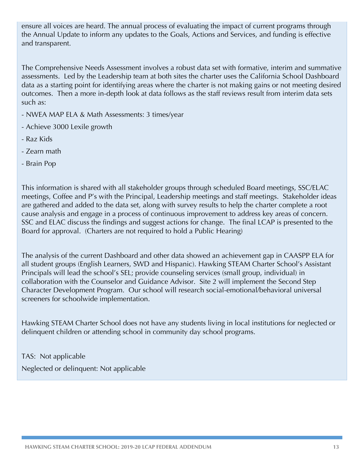ensure all voices are heard. The annual process of evaluating the impact of current programs through the Annual Update to inform any updates to the Goals, Actions and Services, and funding is effective and transparent.

The Comprehensive Needs Assessment involves a robust data set with formative, interim and summative assessments. Led by the Leadership team at both sites the charter uses the California School Dashboard data as a starting point for identifying areas where the charter is not making gains or not meeting desired outcomes. Then a more in-depth look at data follows as the staff reviews result from interim data sets such as:

- NWEA MAP ELA & Math Assessments: 3 times/year
- Achieve 3000 Lexile growth
- Raz Kids
- Zearn math
- Brain Pop

This information is shared with all stakeholder groups through scheduled Board meetings, SSC/ELAC meetings, Coffee and P's with the Principal, Leadership meetings and staff meetings. Stakeholder ideas are gathered and added to the data set, along with survey results to help the charter complete a root cause analysis and engage in a process of continuous improvement to address key areas of concern. SSC and ELAC discuss the findings and suggest actions for change. The final LCAP is presented to the Board for approval. (Charters are not required to hold a Public Hearing)

The analysis of the current Dashboard and other data showed an achievement gap in CAASPP ELA for all student groups (English Learners, SWD and Hispanic). Hawking STEAM Charter School's Assistant Principals will lead the school's SEL; provide counseling services (small group, individual) in collaboration with the Counselor and Guidance Advisor. Site 2 will implement the Second Step Character Development Program. Our school will research social-emotional/behavioral universal screeners for schoolwide implementation.

Hawking STEAM Charter School does not have any students living in local institutions for neglected or delinquent children or attending school in community day school programs.

TAS: Not applicable

Neglected or delinquent: Not applicable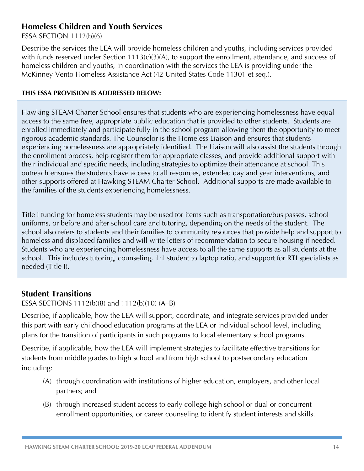### **Homeless Children and Youth Services**

ESSA SECTION 1112(b)(6)

Describe the services the LEA will provide homeless children and youths, including services provided with funds reserved under Section 1113(c)(3)(A), to support the enrollment, attendance, and success of homeless children and youths, in coordination with the services the LEA is providing under the McKinney-Vento Homeless Assistance Act (42 United States Code 11301 et seq.).

#### **THIS ESSA PROVISION IS ADDRESSED BELOW:**

Hawking STEAM Charter School ensures that students who are experiencing homelessness have equal access to the same free, appropriate public education that is provided to other students. Students are enrolled immediately and participate fully in the school program allowing them the opportunity to meet rigorous academic standards. The Counselor is the Homeless Liaison and ensures that students experiencing homelessness are appropriately identified. The Liaison will also assist the students through the enrollment process, help register them for appropriate classes, and provide additional support with their individual and specific needs, including strategies to optimize their attendance at school. This outreach ensures the students have access to all resources, extended day and year interventions, and other supports offered at Hawking STEAM Charter School. Additional supports are made available to the families of the students experiencing homelessness.

Title I funding for homeless students may be used for items such as transportation/bus passes, school uniforms, or before and after school care and tutoring, depending on the needs of the student. The school also refers to students and their families to community resources that provide help and support to homeless and displaced families and will write letters of recommendation to secure housing if needed. Students who are experiencing homelessness have access to all the same supports as all students at the school. This includes tutoring, counseling, 1:1 student to laptop ratio, and support for RTI specialists as needed (Title I).

### **Student Transitions**

ESSA SECTIONS 1112(b)(8) and 1112(b)(10) (A–B)

Describe, if applicable, how the LEA will support, coordinate, and integrate services provided under this part with early childhood education programs at the LEA or individual school level, including plans for the transition of participants in such programs to local elementary school programs.

Describe, if applicable, how the LEA will implement strategies to facilitate effective transitions for students from middle grades to high school and from high school to postsecondary education including:

- (A) through coordination with institutions of higher education, employers, and other local partners; and
- (B) through increased student access to early college high school or dual or concurrent enrollment opportunities, or career counseling to identify student interests and skills.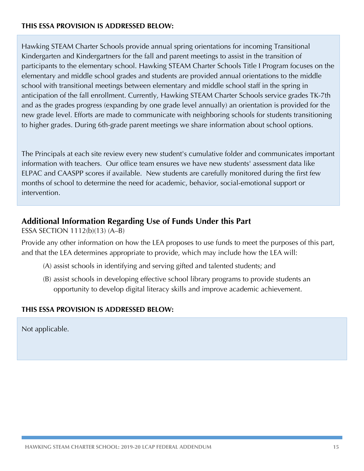#### **THIS ESSA PROVISION IS ADDRESSED BELOW:**

Hawking STEAM Charter Schools provide annual spring orientations for incoming Transitional Kindergarten and Kindergartners for the fall and parent meetings to assist in the transition of participants to the elementary school. Hawking STEAM Charter Schools Title I Program focuses on the elementary and middle school grades and students are provided annual orientations to the middle school with transitional meetings between elementary and middle school staff in the spring in anticipation of the fall enrollment. Currently, Hawking STEAM Charter Schools service grades TK-7th and as the grades progress (expanding by one grade level annually) an orientation is provided for the new grade level. Efforts are made to communicate with neighboring schools for students transitioning to higher grades. During 6th-grade parent meetings we share information about school options.

The Principals at each site review every new student's cumulative folder and communicates important information with teachers. Our office team ensures we have new students' assessment data like ELPAC and CAASPP scores if available. New students are carefully monitored during the first few months of school to determine the need for academic, behavior, social-emotional support or intervention.

#### **Additional Information Regarding Use of Funds Under this Part**

ESSA SECTION 1112(b)(13) (A–B)

Provide any other information on how the LEA proposes to use funds to meet the purposes of this part, and that the LEA determines appropriate to provide, which may include how the LEA will:

- (A) assist schools in identifying and serving gifted and talented students; and
- (B) assist schools in developing effective school library programs to provide students an opportunity to develop digital literacy skills and improve academic achievement.

#### **THIS ESSA PROVISION IS ADDRESSED BELOW:**

Not applicable.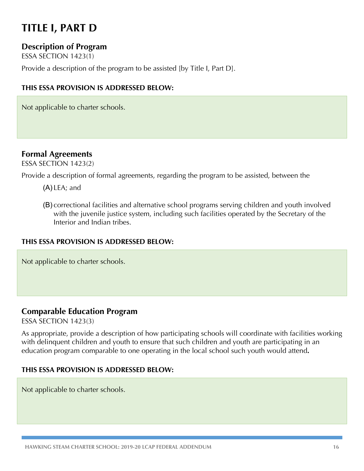# **TITLE I, PART D**

### **Description of Program**

ESSA SECTION 1423(1)

Provide a description of the program to be assisted [by Title I, Part D].

#### **THIS ESSA PROVISION IS ADDRESSED BELOW:**

Not applicable to charter schools.

### **Formal Agreements**

ESSA SECTION 1423(2)

Provide a description of formal agreements, regarding the program to be assisted, between the

- (A) LEA; and
- (B) correctional facilities and alternative school programs serving children and youth involved with the juvenile justice system, including such facilities operated by the Secretary of the Interior and Indian tribes.

#### **THIS ESSA PROVISION IS ADDRESSED BELOW:**

Not applicable to charter schools.

#### **Comparable Education Program**

ESSA SECTION 1423(3)

As appropriate, provide a description of how participating schools will coordinate with facilities working with delinquent children and youth to ensure that such children and youth are participating in an education program comparable to one operating in the local school such youth would attend**.**

#### **THIS ESSA PROVISION IS ADDRESSED BELOW:**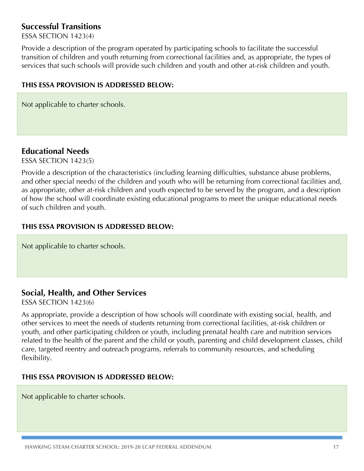### **Successful Transitions**

ESSA SECTION 1423(4)

Provide a description of the program operated by participating schools to facilitate the successful transition of children and youth returning from correctional facilities and, as appropriate, the types of services that such schools will provide such children and youth and other at-risk children and youth.

#### **THIS ESSA PROVISION IS ADDRESSED BELOW:**

Not applicable to charter schools.

#### **Educational Needs**

ESSA SECTION 1423(5)

Provide a description of the characteristics (including learning difficulties, substance abuse problems, and other special needs) of the children and youth who will be returning from correctional facilities and, as appropriate, other at-risk children and youth expected to be served by the program, and a description of how the school will coordinate existing educational programs to meet the unique educational needs of such children and youth.

#### **THIS ESSA PROVISION IS ADDRESSED BELOW:**

Not applicable to charter schools.

#### **Social, Health, and Other Services**

ESSA SECTION 1423(6)

As appropriate, provide a description of how schools will coordinate with existing social, health, and other services to meet the needs of students returning from correctional facilities, at-risk children or youth, and other participating children or youth, including prenatal health care and nutrition services related to the health of the parent and the child or youth, parenting and child development classes, child care, targeted reentry and outreach programs, referrals to community resources, and scheduling flexibility.

#### **THIS ESSA PROVISION IS ADDRESSED BELOW:**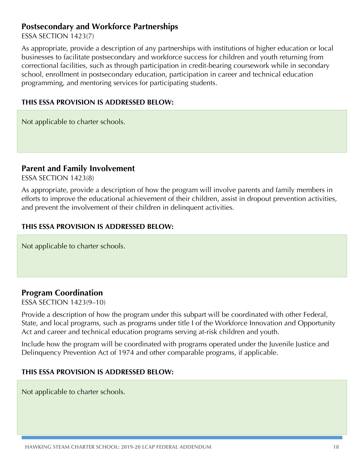#### **Postsecondary and Workforce Partnerships**

ESSA SECTION 1423(7)

As appropriate, provide a description of any partnerships with institutions of higher education or local businesses to facilitate postsecondary and workforce success for children and youth returning from correctional facilities, such as through participation in credit-bearing coursework while in secondary school, enrollment in postsecondary education, participation in career and technical education programming, and mentoring services for participating students.

#### **THIS ESSA PROVISION IS ADDRESSED BELOW:**

Not applicable to charter schools.

#### **Parent and Family Involvement**

ESSA SECTION 1423(8)

As appropriate, provide a description of how the program will involve parents and family members in efforts to improve the educational achievement of their children, assist in dropout prevention activities, and prevent the involvement of their children in delinquent activities.

#### **THIS ESSA PROVISION IS ADDRESSED BELOW:**

Not applicable to charter schools.

#### **Program Coordination**

ESSA SECTION 1423(9–10)

Provide a description of how the program under this subpart will be coordinated with other Federal, State, and local programs, such as programs under title I of the Workforce Innovation and Opportunity Act and career and technical education programs serving at-risk children and youth.

Include how the program will be coordinated with programs operated under the Juvenile Justice and Delinquency Prevention Act of 1974 and other comparable programs, if applicable.

#### **THIS ESSA PROVISION IS ADDRESSED BELOW:**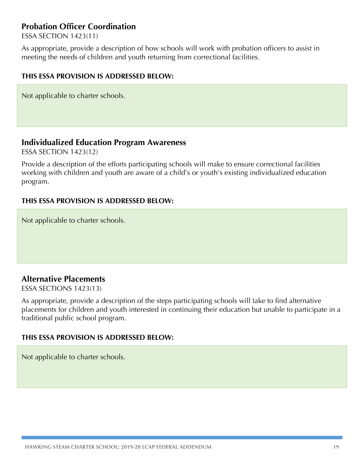### **Probation Officer Coordination**

ESSA SECTION 1423(11)

As appropriate, provide a description of how schools will work with probation officers to assist in meeting the needs of children and youth returning from correctional facilities.

#### **THIS ESSA PROVISION IS ADDRESSED BELOW:**

Not applicable to charter schools.

#### **Individualized Education Program Awareness**

ESSA SECTION 1423(12)

Provide a description of the efforts participating schools will make to ensure correctional facilities working with children and youth are aware of a child's or youth's existing individualized education program.

#### **THIS ESSA PROVISION IS ADDRESSED BELOW:**

Not applicable to charter schools.

#### **Alternative Placements**

ESSA SECTIONS 1423(13)

As appropriate, provide a description of the steps participating schools will take to find alternative placements for children and youth interested in continuing their education but unable to participate in a traditional public school program.

#### **THIS ESSA PROVISION IS ADDRESSED BELOW:**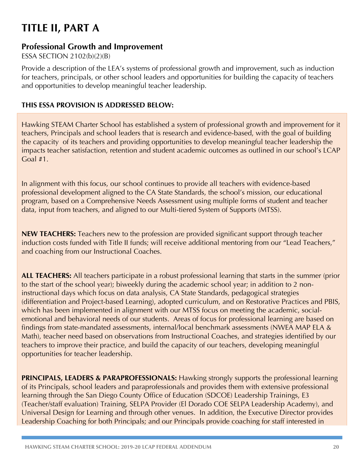# **TITLE II, PART A**

### **Professional Growth and Improvement**

ESSA SECTION 2102(b)(2)(B)

Provide a description of the LEA's systems of professional growth and improvement, such as induction for teachers, principals, or other school leaders and opportunities for building the capacity of teachers and opportunities to develop meaningful teacher leadership.

#### **THIS ESSA PROVISION IS ADDRESSED BELOW:**

Hawking STEAM Charter School has established a system of professional growth and improvement for it teachers, Principals and school leaders that is research and evidence-based, with the goal of building the capacity of its teachers and providing opportunities to develop meaningful teacher leadership the impacts teacher satisfaction, retention and student academic outcomes as outlined in our school's LCAP Goal #1.

In alignment with this focus, our school continues to provide all teachers with evidence-based professional development aligned to the CA State Standards, the school's mission, our educational program, based on a Comprehensive Needs Assessment using multiple forms of student and teacher data, input from teachers, and aligned to our Multi-tiered System of Supports (MTSS).

**NEW TEACHERS:** Teachers new to the profession are provided significant support through teacher induction costs funded with Title II funds; will receive additional mentoring from our "Lead Teachers," and coaching from our Instructional Coaches.

**ALL TEACHERS:** All teachers participate in a robust professional learning that starts in the summer (prior to the start of the school year); biweekly during the academic school year; in addition to 2 noninstructional days which focus on data analysis, CA State Standards, pedagogical strategies (differentiation and Project-based Learning), adopted curriculum, and on Restorative Practices and PBIS, which has been implemented in alignment with our MTSS focus on meeting the academic, socialemotional and behavioral needs of our students. Areas of focus for professional learning are based on findings from state-mandated assessments, internal/local benchmark assessments (NWEA MAP ELA & Math), teacher need based on observations from Instructional Coaches, and strategies identified by our teachers to improve their practice, and build the capacity of our teachers, developing meaningful opportunities for teacher leadership.

**PRINCIPALS, LEADERS & PARAPROFESSIONALS:** Hawking strongly supports the professional learning of its Principals, school leaders and paraprofessionals and provides them with extensive professional learning through the San Diego County Office of Education (SDCOE) Leadership Trainings, E3 (Teacher/staff evaluation) Training, SELPA Provider (El Dorado COE SELPA Leadership Academy), and Universal Design for Learning and through other venues. In addition, the Executive Director provides Leadership Coaching for both Principals; and our Principals provide coaching for staff interested in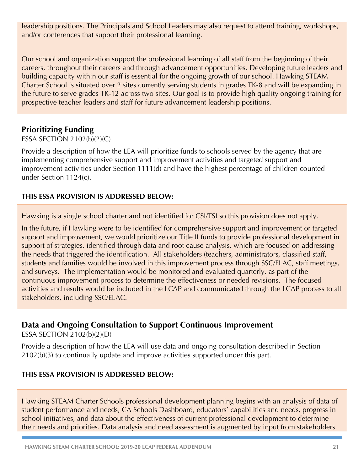leadership positions. The Principals and School Leaders may also request to attend training, workshops, and/or conferences that support their professional learning.

Our school and organization support the professional learning of all staff from the beginning of their careers, throughout their careers and through advancement opportunities. Developing future leaders and building capacity within our staff is essential for the ongoing growth of our school. Hawking STEAM Charter School is situated over 2 sites currently serving students in grades TK-8 and will be expanding in the future to serve grades TK-12 across two sites. Our goal is to provide high quality ongoing training for prospective teacher leaders and staff for future advancement leadership positions.

### **Prioritizing Funding**

#### ESSA SECTION 2102(b)(2)(C)

Provide a description of how the LEA will prioritize funds to schools served by the agency that are implementing comprehensive support and improvement activities and targeted support and improvement activities under Section 1111(d) and have the highest percentage of children counted under Section 1124(c).

#### **THIS ESSA PROVISION IS ADDRESSED BELOW:**

Hawking is a single school charter and not identified for CSI/TSI so this provision does not apply.

In the future, if Hawking were to be identified for comprehensive support and improvement or targeted support and improvement, we would prioritize our Title II funds to provide professional development in support of strategies, identified through data and root cause analysis, which are focused on addressing the needs that triggered the identification. All stakeholders (teachers, administrators, classified staff, students and families would be involved in this improvement process through SSC/ELAC, staff meetings, and surveys. The implementation would be monitored and evaluated quarterly, as part of the continuous improvement process to determine the effectiveness or needed revisions. The focused activities and results would be included in the LCAP and communicated through the LCAP process to all stakeholders, including SSC/ELAC.

### **Data and Ongoing Consultation to Support Continuous Improvement**

ESSA SECTION 2102(b)(2)(D)

Provide a description of how the LEA will use data and ongoing consultation described in Section 2102(b)(3) to continually update and improve activities supported under this part.

#### **THIS ESSA PROVISION IS ADDRESSED BELOW:**

Hawking STEAM Charter Schools professional development planning begins with an analysis of data of student performance and needs, CA Schools Dashboard, educators' capabilities and needs, progress in school initiatives, and data about the effectiveness of current professional development to determine their needs and priorities. Data analysis and need assessment is augmented by input from stakeholders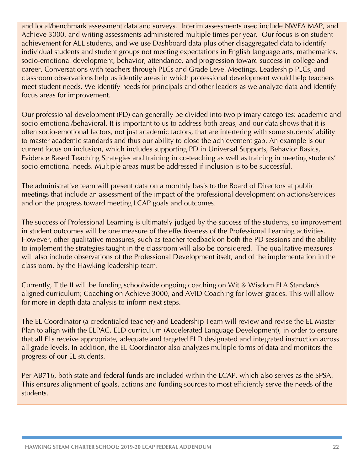and local/benchmark assessment data and surveys. Interim assessments used include NWEA MAP, and Achieve 3000, and writing assessments administered multiple times per year. Our focus is on student achievement for ALL students, and we use Dashboard data plus other disaggregated data to identify individual students and student groups not meeting expectations in English language arts, mathematics, socio-emotional development, behavior, attendance, and progression toward success in college and career. Conversations with teachers through PLCs and Grade Level Meetings, Leadership PLCs, and classroom observations help us identify areas in which professional development would help teachers meet student needs. We identify needs for principals and other leaders as we analyze data and identify focus areas for improvement.

Our professional development (PD) can generally be divided into two primary categories: academic and socio-emotional/behavioral. It is important to us to address both areas, and our data shows that it is often socio-emotional factors, not just academic factors, that are interfering with some students' ability to master academic standards and thus our ability to close the achievement gap. An example is our current focus on inclusion, which includes supporting PD in Universal Supports, Behavior Basics, Evidence Based Teaching Strategies and training in co-teaching as well as training in meeting students' socio-emotional needs. Multiple areas must be addressed if inclusion is to be successful.

The administrative team will present data on a monthly basis to the Board of Directors at public meetings that include an assessment of the impact of the professional development on actions/services and on the progress toward meeting LCAP goals and outcomes.

The success of Professional Learning is ultimately judged by the success of the students, so improvement in student outcomes will be one measure of the effectiveness of the Professional Learning activities. However, other qualitative measures, such as teacher feedback on both the PD sessions and the ability to implement the strategies taught in the classroom will also be considered. The qualitative measures will also include observations of the Professional Development itself, and of the implementation in the classroom, by the Hawking leadership team.

Currently, Title II will be funding schoolwide ongoing coaching on Wit & Wisdom ELA Standards aligned curriculum; Coaching on Achieve 3000, and AVID Coaching for lower grades. This will allow for more in-depth data analysis to inform next steps.

The EL Coordinator (a credentialed teacher) and Leadership Team will review and revise the EL Master Plan to align with the ELPAC, ELD curriculum (Accelerated Language Development), in order to ensure that all ELs receive appropriate, adequate and targeted ELD designated and integrated instruction across all grade levels. In addition, the EL Coordinator also analyzes multiple forms of data and monitors the progress of our EL students.

Per AB716, both state and federal funds are included within the LCAP, which also serves as the SPSA. This ensures alignment of goals, actions and funding sources to most efficiently serve the needs of the students.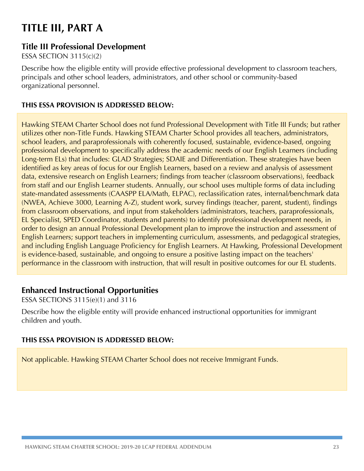# **TITLE III, PART A**

### **Title III Professional Development**

ESSA SECTION 3115(c)(2)

Describe how the eligible entity will provide effective professional development to classroom teachers, principals and other school leaders, administrators, and other school or community-based organizational personnel.

#### **THIS ESSA PROVISION IS ADDRESSED BELOW:**

Hawking STEAM Charter School does not fund Professional Development with Title III Funds; but rather utilizes other non-Title Funds. Hawking STEAM Charter School provides all teachers, administrators, school leaders, and paraprofessionals with coherently focused, sustainable, evidence-based, ongoing professional development to specifically address the academic needs of our English Learners (including Long-term ELs) that includes: GLAD Strategies; SDAIE and Differentiation. These strategies have been identified as key areas of focus for our English Learners, based on a review and analysis of assessment data, extensive research on English Learners; findings from teacher (classroom observations), feedback from staff and our English Learner students. Annually, our school uses multiple forms of data including state-mandated assessments (CAASPP ELA/Math, ELPAC), reclassification rates, internal/benchmark data (NWEA, Achieve 3000, Learning A-Z), student work, survey findings (teacher, parent, student), findings from classroom observations, and input from stakeholders (administrators, teachers, paraprofessionals, EL Specialist, SPED Coordinator, students and parents) to identify professional development needs, in order to design an annual Professional Development plan to improve the instruction and assessment of English Learners; support teachers in implementing curriculum, assessments, and pedagogical strategies, and including English Language Proficiency for English Learners. At Hawking, Professional Development is evidence-based, sustainable, and ongoing to ensure a positive lasting impact on the teachers' performance in the classroom with instruction, that will result in positive outcomes for our EL students.

#### **Enhanced Instructional Opportunities**

ESSA SECTIONS 3115(e)(1) and 3116

Describe how the eligible entity will provide enhanced instructional opportunities for immigrant children and youth.

#### **THIS ESSA PROVISION IS ADDRESSED BELOW:**

Not applicable. Hawking STEAM Charter School does not receive Immigrant Funds.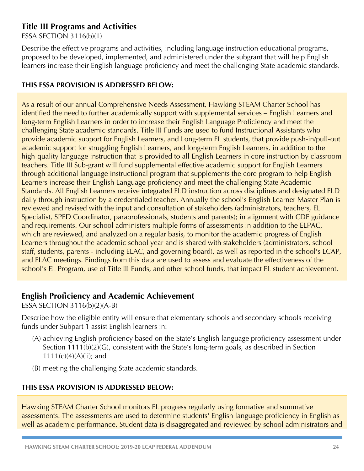### **Title III Programs and Activities**

ESSA SECTION 3116(b)(1)

Describe the effective programs and activities, including language instruction educational programs, proposed to be developed, implemented, and administered under the subgrant that will help English learners increase their English language proficiency and meet the challenging State academic standards.

#### **THIS ESSA PROVISION IS ADDRESSED BELOW:**

As a result of our annual Comprehensive Needs Assessment, Hawking STEAM Charter School has identified the need to further academically support with supplemental services – English Learners and long-term English Learners in order to increase their English Language Proficiency and meet the challenging State academic standards. Title III Funds are used to fund Instructional Assistants who provide academic support for English Learners, and Long-term EL students, that provide push-in/pull-out academic support for struggling English Learners, and long-term English Learners, in addition to the high-quality language instruction that is provided to all English Learners in core instruction by classroom teachers. Title III Sub-grant will fund supplemental effective academic support for English Learners through additional language instructional program that supplements the core program to help English Learners increase their English Language proficiency and meet the challenging State Academic Standards. All English Learners receive integrated ELD instruction across disciplines and designated ELD daily through instruction by a credentialed teacher. Annually the school's English Learner Master Plan is reviewed and revised with the input and consultation of stakeholders (administrators, teachers, EL Specialist, SPED Coordinator, paraprofessionals, students and parents); in alignment with CDE guidance and requirements. Our school administers multiple forms of assessments in addition to the ELPAC, which are reviewed, and analyzed on a regular basis, to monitor the academic progress of English Learners throughout the academic school year and is shared with stakeholders (administrators, school staff, students, parents - including ELAC, and governing board), as well as reported in the school's LCAP, and ELAC meetings. Findings from this data are used to assess and evaluate the effectiveness of the school's EL Program, use of Title III Funds, and other school funds, that impact EL student achievement.

### **English Proficiency and Academic Achievement**

ESSA SECTION 3116(b)(2)(A-B)

Describe how the eligible entity will ensure that elementary schools and secondary schools receiving funds under Subpart 1 assist English learners in:

- (A) achieving English proficiency based on the State's English language proficiency assessment under Section 1111(b)(2)(G), consistent with the State's long-term goals, as described in Section 1111(c)(4)(A)(ii); and
- (B) meeting the challenging State academic standards.

#### **THIS ESSA PROVISION IS ADDRESSED BELOW:**

Hawking STEAM Charter School monitors EL progress regularly using formative and summative assessments. The assessments are used to determine students' English language proficiency in English as well as academic performance. Student data is disaggregated and reviewed by school administrators and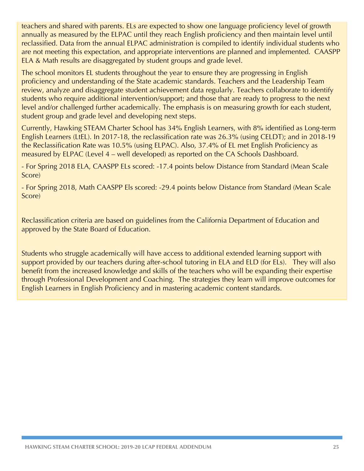teachers and shared with parents. ELs are expected to show one language proficiency level of growth annually as measured by the ELPAC until they reach English proficiency and then maintain level until reclassified. Data from the annual ELPAC administration is compiled to identify individual students who are not meeting this expectation, and appropriate interventions are planned and implemented. CAASPP ELA & Math results are disaggregated by student groups and grade level.

The school monitors EL students throughout the year to ensure they are progressing in English proficiency and understanding of the State academic standards. Teachers and the Leadership Team review, analyze and disaggregate student achievement data regularly. Teachers collaborate to identify students who require additional intervention/support; and those that are ready to progress to the next level and/or challenged further academically. The emphasis is on measuring growth for each student, student group and grade level and developing next steps.

Currently, Hawking STEAM Charter School has 34% English Learners, with 8% identified as Long-term English Learners (LtEL). In 2017-18, the reclassification rate was 26.3% (using CELDT); and in 2018-19 the Reclassification Rate was 10.5% (using ELPAC). Also, 37.4% of EL met English Proficiency as measured by ELPAC (Level 4 – well developed) as reported on the CA Schools Dashboard.

- For Spring 2018 ELA, CAASPP ELs scored: -17.4 points below Distance from Standard (Mean Scale Score)

- For Spring 2018, Math CAASPP Els scored: -29.4 points below Distance from Standard (Mean Scale Score)

Reclassification criteria are based on guidelines from the California Department of Education and approved by the State Board of Education.

Students who struggle academically will have access to additional extended learning support with support provided by our teachers during after-school tutoring in ELA and ELD (for ELs). They will also benefit from the increased knowledge and skills of the teachers who will be expanding their expertise through Professional Development and Coaching. The strategies they learn will improve outcomes for English Learners in English Proficiency and in mastering academic content standards.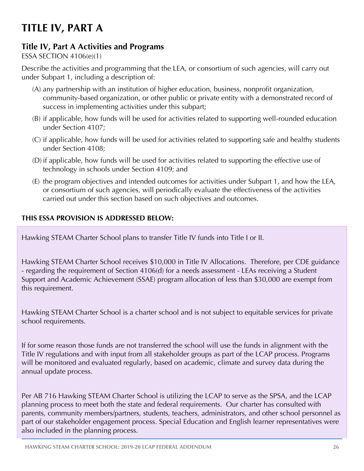# **TITLE IV, PART A**

## **Title IV, Part A Activities and Programs**

#### ESSA SECTION 4106(e)(1)

Describe the activities and programming that the LEA, or consortium of such agencies, will carry out under Subpart 1, including a description of:

- (A) any partnership with an institution of higher education, business, nonprofit organization, community-based organization, or other public or private entity with a demonstrated record of success in implementing activities under this subpart;
- (B) if applicable, how funds will be used for activities related to supporting well-rounded education under Section 4107;
- (C) if applicable, how funds will be used for activities related to supporting safe and healthy students under Section 4108;
- (D) if applicable, how funds will be used for activities related to supporting the effective use of technology in schools under Section 4109; and
- (E) the program objectives and intended outcomes for activities under Subpart 1, and how the LEA, or consortium of such agencies, will periodically evaluate the effectiveness of the activities carried out under this section based on such objectives and outcomes.

### **THIS ESSA PROVISION IS ADDRESSED BELOW:**

Hawking STEAM Charter School plans to transfer Title IV funds into Title I or II.

Hawking STEAM Charter School receives \$10,000 in Title IV Allocations. Therefore, per CDE guidance - regarding the requirement of Section 4106(d) for a needs assessment - LEAs receiving a Student Support and Academic Achievement (SSAE) program allocation of less than \$30,000 are exempt from this requirement.

Hawking STEAM Charter School is a charter school and is not subject to equitable services for private school requirements.

If for some reason those funds are not transferred the school will use the funds in alignment with the Title IV regulations and with input from all stakeholder groups as part of the LCAP process. Programs will be monitored and evaluated regularly, based on academic, climate and survey data during the annual update process.

Per AB 716 Hawking STEAM Charter School is utilizing the LCAP to serve as the SPSA, and the LCAP planning process to meet both the state and federal requirements. Our charter has consulted with parents, community members/partners, students, teachers, administrators, and other school personnel as part of our stakeholder engagement process. Special Education and English learner representatives were also included in the planning process.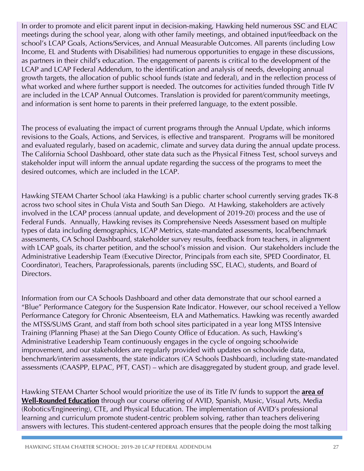In order to promote and elicit parent input in decision-making, Hawking held numerous SSC and ELAC meetings during the school year, along with other family meetings, and obtained input/feedback on the school's LCAP Goals, Actions/Services, and Annual Measurable Outcomes. All parents (including Low Income, EL and Students with Disabilities) had numerous opportunities to engage in these discussions, as partners in their child's education. The engagement of parents is critical to the development of the LCAP and LCAP Federal Addendum, to the identification and analysis of needs, developing annual growth targets, the allocation of public school funds (state and federal), and in the reflection process of what worked and where further support is needed. The outcomes for activities funded through Title IV are included in the LCAP Annual Outcomes. Translation is provided for parent/community meetings, and information is sent home to parents in their preferred language, to the extent possible.

The process of evaluating the impact of current programs through the Annual Update, which informs revisions to the Goals, Actions, and Services, is effective and transparent. Programs will be monitored and evaluated regularly, based on academic, climate and survey data during the annual update process. The California School Dashboard, other state data such as the Physical Fitness Test, school surveys and stakeholder input will inform the annual update regarding the success of the programs to meet the desired outcomes, which are included in the LCAP.

Hawking STEAM Charter School (aka Hawking) is a public charter school currently serving grades TK-8 across two school sites in Chula Vista and South San Diego. At Hawking, stakeholders are actively involved in the LCAP process (annual update, and development of 2019-20) process and the use of Federal Funds. Annually, Hawking revises its Comprehensive Needs Assessment based on multiple types of data including demographics, LCAP Metrics, state-mandated assessments, local/benchmark assessments, CA School Dashboard, stakeholder survey results, feedback from teachers, in alignment with LCAP goals, its charter petition, and the school's mission and vision. Our stakeholders include the Administrative Leadership Team (Executive Director, Principals from each site, SPED Coordinator, EL Coordinator), Teachers, Paraprofessionals, parents (including SSC, ELAC), students, and Board of Directors.

Information from our CA Schools Dashboard and other data demonstrate that our school earned a "Blue" Performance Category for the Suspension Rate Indicator. However, our school received a Yellow Performance Category for Chronic Absenteeism, ELA and Mathematics. Hawking was recently awarded the MTSS/SUMS Grant, and staff from both school sites participated in a year long MTSS Intensive Training (Planning Phase) at the San Diego County Office of Education. As such, Hawking's Administrative Leadership Team continuously engages in the cycle of ongoing schoolwide improvement, and our stakeholders are regularly provided with updates on schoolwide data, benchmark/interim assessments, the state indicators (CA Schools Dashboard), including state-mandated assessments (CAASPP, ELPAC, PFT, CAST) – which are disaggregated by student group, and grade level.

Hawking STEAM Charter School would prioritize the use of its Title IV funds to support the **area of Well-Rounded Education** through our course offering of AVID, Spanish, Music, Visual Arts, Media (Robotics/Engineering), CTE, and Physical Education. The implementation of AVID's professional learning and curriculum promote student-centric problem solving, rather than teachers delivering answers with lectures. This student-centered approach ensures that the people doing the most talking